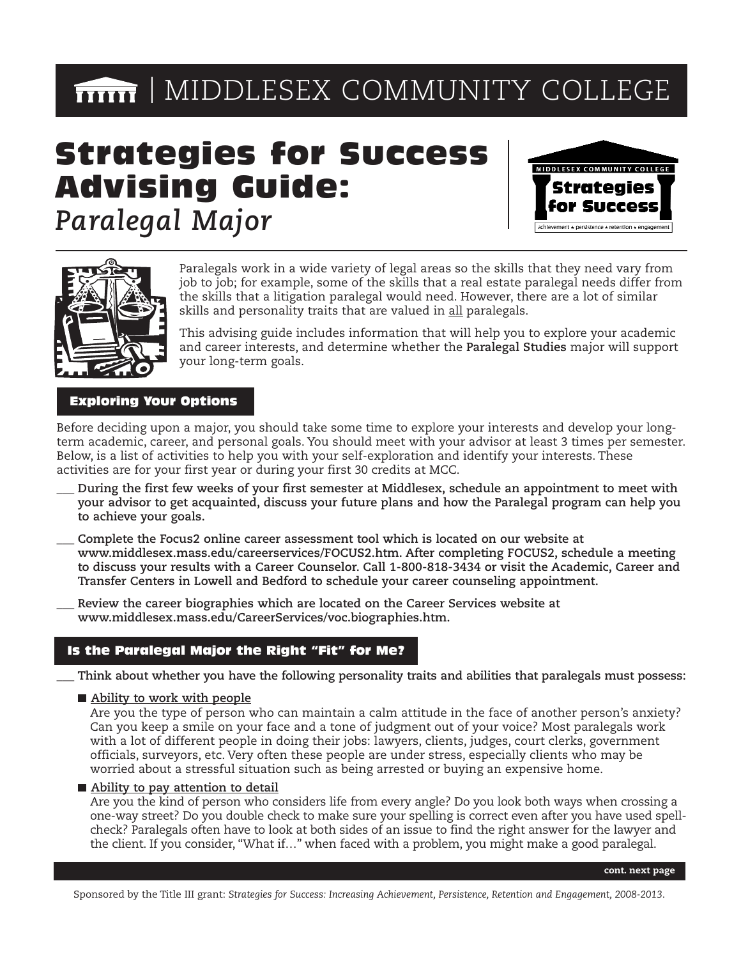# $\overline{\mathbf{mm}}$  | MIDDLESEX COMMUNITY COLLEGE

# Strategies for Success Advising Guide:

*Paralegal Major* 





Paralegals work in a wide variety of legal areas so the skills that they need vary from job to job; for example, some of the skills that a real estate paralegal needs differ from the skills that a litigation paralegal would need. However, there are a lot of similar skills and personality traits that are valued in all paralegals.

This advising guide includes information that will help you to explore your academic and career interests, and determine whether the **Paralegal Studies** major will support your long-term goals.

## Exploring Your Options

Before deciding upon a major, you should take some time to explore your interests and develop your longterm academic, career, and personal goals. You should meet with your advisor at least 3 times per semester. Below, is a list of activities to help you with your self-exploration and identify your interests. These activities are for your first year or during your first 30 credits at MCC.

- \_\_\_ **During the first few weeks of your first semester at Middlesex, schedule an appointment to meet with your advisor to get acquainted, discuss your future plans and how the Paralegal program can help you to achieve your goals.**
- \_\_\_ **Complete the Focus2 online career assessment tool which is located on our website at [www.middlesex.mass.edu/careerservices/FOCUS2.htm.](www.middlesex.mass.edu/careerservices/FOCUS2.htm) After completing FOCUS2, schedule a meeting to discuss your results with a Career Counselor. Call 1-800-818-3434 or visit the Academic, Career and Transfer Centers in Lowell and Bedford to schedule your career counseling appointment.**
- \_\_\_ **Review the career biographies which are located on the Career Services website at <www.middlesex.mass.edu/CareerServices/voc.biographies.htm>.**

## Is the Paralegal Major the Right "Fit" for Me?

\_\_\_ **Think about whether you have the following personality traits and abilities that paralegals must possess:** 

**Ability to work with people** 

Are you the type of person who can maintain a calm attitude in the face of another person's anxiety? Can you keep a smile on your face and a tone of judgment out of your voice? Most paralegals work with a lot of different people in doing their jobs: lawyers, clients, judges, court clerks, government officials, surveyors, etc. Very often these people are under stress, especially clients who may be worried about a stressful situation such as being arrested or buying an expensive home.

#### **Ability to pay attention to detail**

Are you the kind of person who considers life from every angle? Do you look both ways when crossing a one-way street? Do you double check to make sure your spelling is correct even after you have used spellcheck? Paralegals often have to look at both sides of an issue to find the right answer for the lawyer and the client. If you consider, "What if…" when faced with a problem, you might make a good paralegal.

Sponsored by the Title III grant: *Strategies for Success: Increasing Achievement, Persistence, Retention and Engagement, 2008-2013*.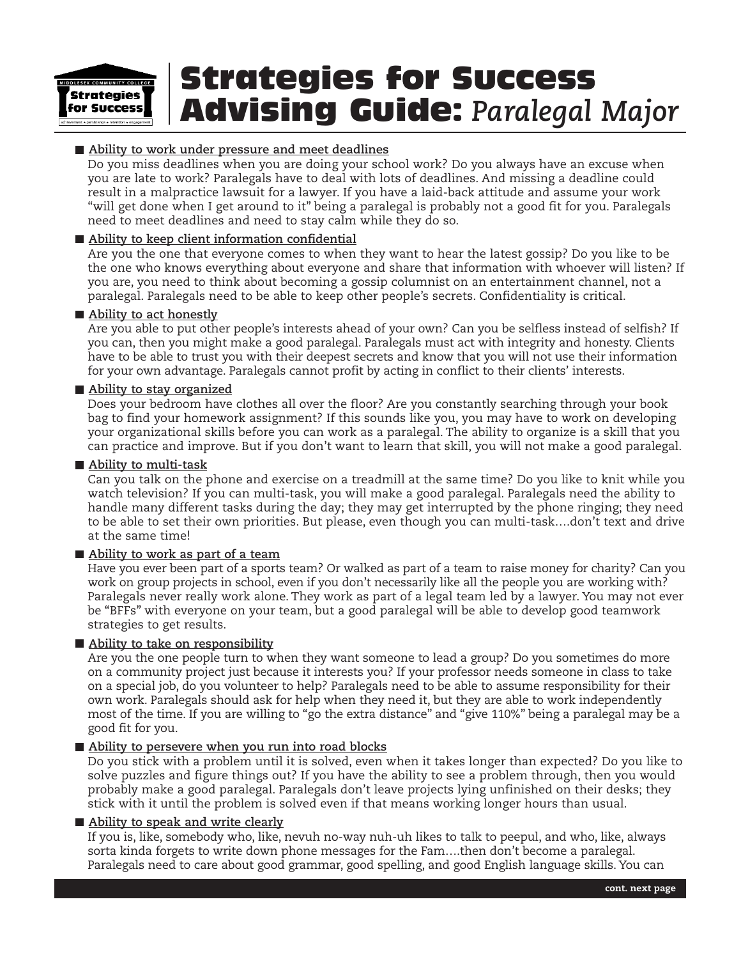

### **Ability to work under pressure and meet deadlines**

Do you miss deadlines when you are doing your school work? Do you always have an excuse when you are late to work? Paralegals have to deal with lots of deadlines. And missing a deadline could result in a malpractice lawsuit for a lawyer. If you have a laid-back attitude and assume your work "will get done when I get around to it" being a paralegal is probably not a good fit for you. Paralegals need to meet deadlines and need to stay calm while they do so.

#### **Ability to keep client information confidential**

Are you the one that everyone comes to when they want to hear the latest gossip? Do you like to be the one who knows everything about everyone and share that information with whoever will listen? If you are, you need to think about becoming a gossip columnist on an entertainment channel, not a paralegal. Paralegals need to be able to keep other people's secrets. Confidentiality is critical.

#### ■ Ability to act honestly

Are you able to put other people's interests ahead of your own? Can you be selfless instead of selfish? If you can, then you might make a good paralegal. Paralegals must act with integrity and honesty. Clients have to be able to trust you with their deepest secrets and know that you will not use their information for your own advantage. Paralegals cannot profit by acting in conflict to their clients' interests.

#### **Ability to stay organized**

Does your bedroom have clothes all over the floor? Are you constantly searching through your book bag to find your homework assignment? If this sounds like you, you may have to work on developing your organizational skills before you can work as a paralegal. The ability to organize is a skill that you can practice and improve. But if you don't want to learn that skill, you will not make a good paralegal.

#### **Ability to multi-task**

Can you talk on the phone and exercise on a treadmill at the same time? Do you like to knit while you watch television? If you can multi-task, you will make a good paralegal. Paralegals need the ability to handle many different tasks during the day; they may get interrupted by the phone ringing; they need to be able to set their own priorities. But please, even though you can multi-task….don't text and drive at the same time!

#### **Ability to work as part of a team**

Have you ever been part of a sports team? Or walked as part of a team to raise money for charity? Can you work on group projects in school, even if you don't necessarily like all the people you are working with? Paralegals never really work alone. They work as part of a legal team led by a lawyer. You may not ever be "BFFs" with everyone on your team, but a good paralegal will be able to develop good teamwork strategies to get results.

#### **Ability to take on responsibility**

Are you the one people turn to when they want someone to lead a group? Do you sometimes do more on a community project just because it interests you? If your professor needs someone in class to take on a special job, do you volunteer to help? Paralegals need to be able to assume responsibility for their own work. Paralegals should ask for help when they need it, but they are able to work independently most of the time. If you are willing to "go the extra distance" and "give 110%" being a paralegal may be a good fit for you.

#### ■ Ability to persevere when you run into road blocks

Do you stick with a problem until it is solved, even when it takes longer than expected? Do you like to solve puzzles and figure things out? If you have the ability to see a problem through, then you would probably make a good paralegal. Paralegals don't leave projects lying unfinished on their desks; they stick with it until the problem is solved even if that means working longer hours than usual.

#### **Ability to speak and write clearly**

If you is, like, somebody who, like, nevuh no-way nuh-uh likes to talk to peepul, and who, like, always sorta kinda forgets to write down phone messages for the Fam….then don't become a paralegal. Paralegals need to care about good grammar, good spelling, and good English language skills. You can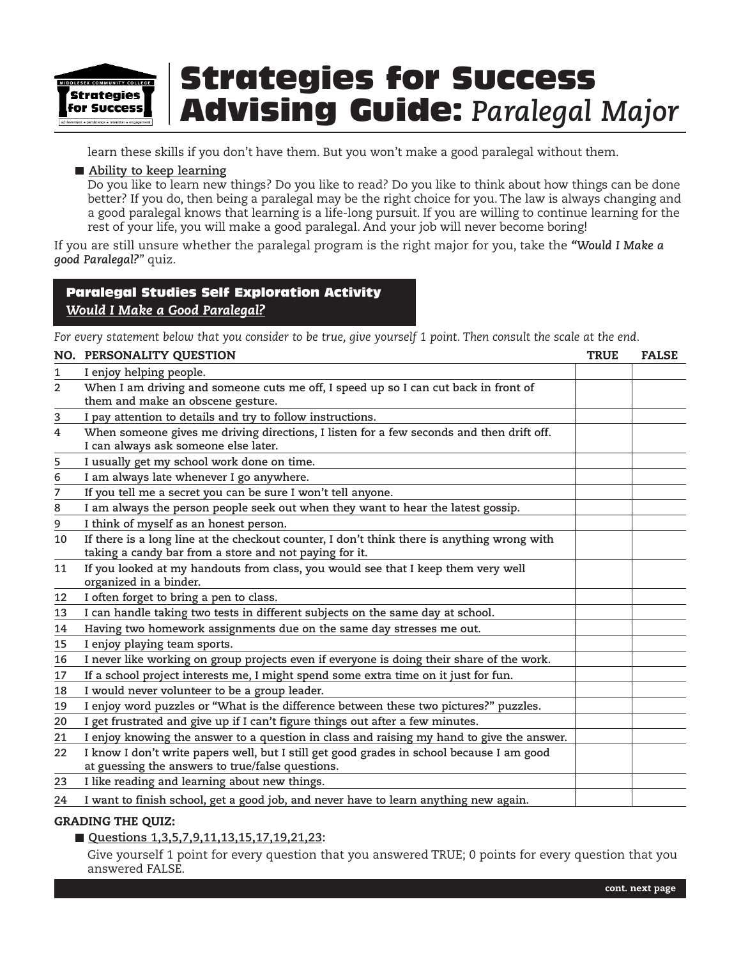

learn these skills if you don't have them. But you won't make a good paralegal without them.

#### ■ Ability to keep learning

Do you like to learn new things? Do you like to read? Do you like to think about how things can be done better? If you do, then being a paralegal may be the right choice for you. The law is always changing and a good paralegal knows that learning is a life-long pursuit. If you are willing to continue learning for the rest of your life, you will make a good paralegal. And your job will never become boring!

If you are still unsure whether the paralegal program is the right major for you, take the *"Would I Make a good Paralegal?*" quiz.

## Paralegal Studies Self Exploration Activity *Would I Make a Good Paralegal?*

*For every statement below that you consider to be true, give yourself 1 point. Then consult the scale at the end.* 

|                | NO. PERSONALITY QUESTION                                                                                                                              | <b>TRUE</b> | <b>FALSE</b> |
|----------------|-------------------------------------------------------------------------------------------------------------------------------------------------------|-------------|--------------|
| $\mathbf{1}$   | I enjoy helping people.                                                                                                                               |             |              |
| $\overline{2}$ | When I am driving and someone cuts me off, I speed up so I can cut back in front of<br>them and make an obscene gesture.                              |             |              |
| 3              | I pay attention to details and try to follow instructions.                                                                                            |             |              |
| 4              | When someone gives me driving directions, I listen for a few seconds and then drift off.<br>I can always ask someone else later.                      |             |              |
| 5              | I usually get my school work done on time.                                                                                                            |             |              |
| 6              | I am always late whenever I go anywhere.                                                                                                              |             |              |
| 7              | If you tell me a secret you can be sure I won't tell anyone.                                                                                          |             |              |
| 8              | I am always the person people seek out when they want to hear the latest gossip.                                                                      |             |              |
| 9              | I think of myself as an honest person.                                                                                                                |             |              |
| 10             | If there is a long line at the checkout counter, I don't think there is anything wrong with<br>taking a candy bar from a store and not paying for it. |             |              |
| 11             | If you looked at my handouts from class, you would see that I keep them very well<br>organized in a binder.                                           |             |              |
| 12             | I often forget to bring a pen to class.                                                                                                               |             |              |
| 13             | I can handle taking two tests in different subjects on the same day at school.                                                                        |             |              |
| 14             | Having two homework assignments due on the same day stresses me out.                                                                                  |             |              |
| 15             | I enjoy playing team sports.                                                                                                                          |             |              |
| 16             | I never like working on group projects even if everyone is doing their share of the work.                                                             |             |              |
| 17             | If a school project interests me, I might spend some extra time on it just for fun.                                                                   |             |              |
| 18             | I would never volunteer to be a group leader.                                                                                                         |             |              |
| 19             | I enjoy word puzzles or "What is the difference between these two pictures?" puzzles.                                                                 |             |              |
| 20             | I get frustrated and give up if I can't figure things out after a few minutes.                                                                        |             |              |
| 21             | I enjoy knowing the answer to a question in class and raising my hand to give the answer.                                                             |             |              |
| 22             | I know I don't write papers well, but I still get good grades in school because I am good<br>at guessing the answers to true/false questions.         |             |              |
| 23             | I like reading and learning about new things.                                                                                                         |             |              |
| 24             | I want to finish school, get a good job, and never have to learn anything new again.                                                                  |             |              |

#### **GRADING THE QUIZ:**

■ Questions 1,3,5,7,9,11,13,15,17,19,21,23:

Give yourself 1 point for every question that you answered TRUE; 0 points for every question that you answered FALSE.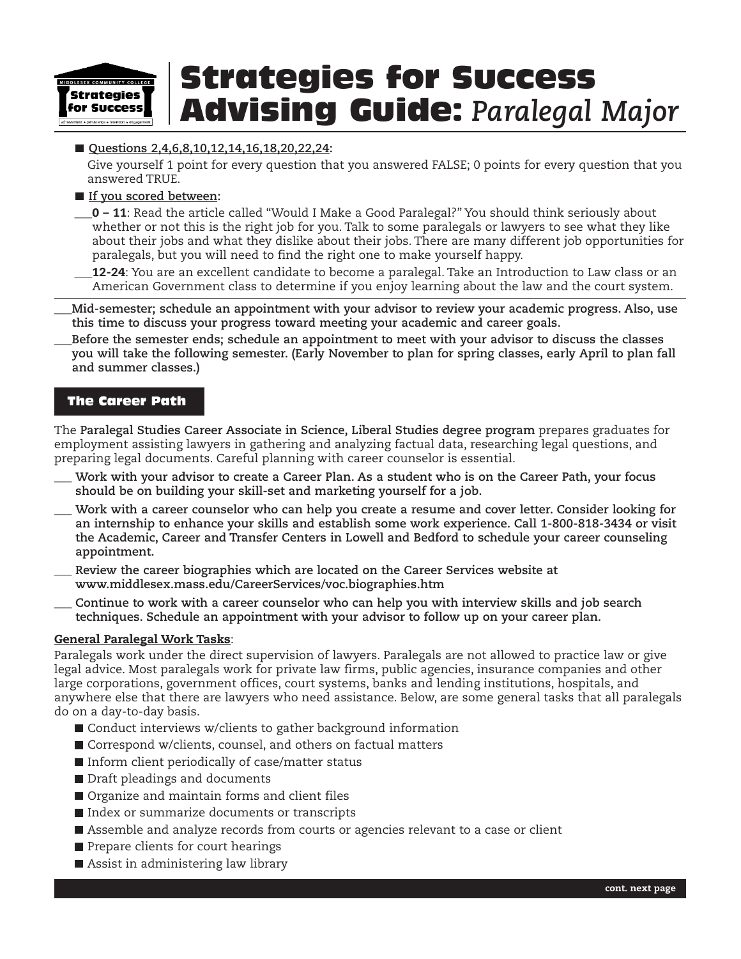

### ■ Questions 2,4,6,8,10,12,14,16,18,20,22,24:

Give yourself 1 point for every question that you answered FALSE; 0 points for every question that you answered TRUE.

**If you scored between:** 

\_\_\_**0 – 11**: Read the article called "Would I Make a Good Paralegal?" You should think seriously about whether or not this is the right job for you. Talk to some paralegals or lawyers to see what they like about their jobs and what they dislike about their jobs. There are many different job opportunities for paralegals, but you will need to find the right one to make yourself happy.

\_\_\_**12-24**: You are an excellent candidate to become a paralegal. Take an Introduction to Law class or an American Government class to determine if you enjoy learning about the law and the court system.

- \_\_\_**Mid-semester; schedule an appointment with your advisor to review your academic progress. Also, use this time to discuss your progress toward meeting your academic and career goals.**
- \_\_\_**Before the semester ends; schedule an appointment to meet with your advisor to discuss the classes you will take the following semester. (Early November to plan for spring classes, early April to plan fall and summer classes.)**

## The Career Path

The **Paralegal Studies Career Associate in Science, Liberal Studies degree program** prepares graduates for employment assisting lawyers in gathering and analyzing factual data, researching legal questions, and preparing legal documents. Careful planning with career counselor is essential.

- \_\_\_ **Work with your advisor to create a Career Plan. As a student who is on the Career Path, your focus should be on building your skill-set and marketing yourself for a job.**
- \_\_\_ **Work with a career counselor who can help you create a resume and cover letter. Consider looking for an internship to enhance your skills and establish some work experience. Call 1-800-818-3434 or visit the Academic, Career and Transfer Centers in Lowell and Bedford to schedule your career counseling appointment.**
- \_\_\_ **Review the career biographies which are located on the Career Services website at <www.middlesex.mass.edu/CareerServices/voc.biographies.htm>**
- \_\_\_ **Continue to work with a career counselor who can help you with interview skills and job search techniques. Schedule an appointment with your advisor to follow up on your career plan.**

#### **General Paralegal Work Tasks**:

Paralegals work under the direct supervision of lawyers. Paralegals are not allowed to practice law or give legal advice. Most paralegals work for private law firms, public agencies, insurance companies and other large corporations, government offices, court systems, banks and lending institutions, hospitals, and anywhere else that there are lawyers who need assistance. Below, are some general tasks that all paralegals do on a day-to-day basis.

- Conduct interviews w/clients to gather background information
- Correspond w/clients, counsel, and others on factual matters
- $\blacksquare$  Inform client periodically of case/matter status
- Draft pleadings and documents
- Organize and maintain forms and client files
- Index or summarize documents or transcripts
- Assemble and analyze records from courts or agencies relevant to a case or client
- Prepare clients for court hearings
- Assist in administering law library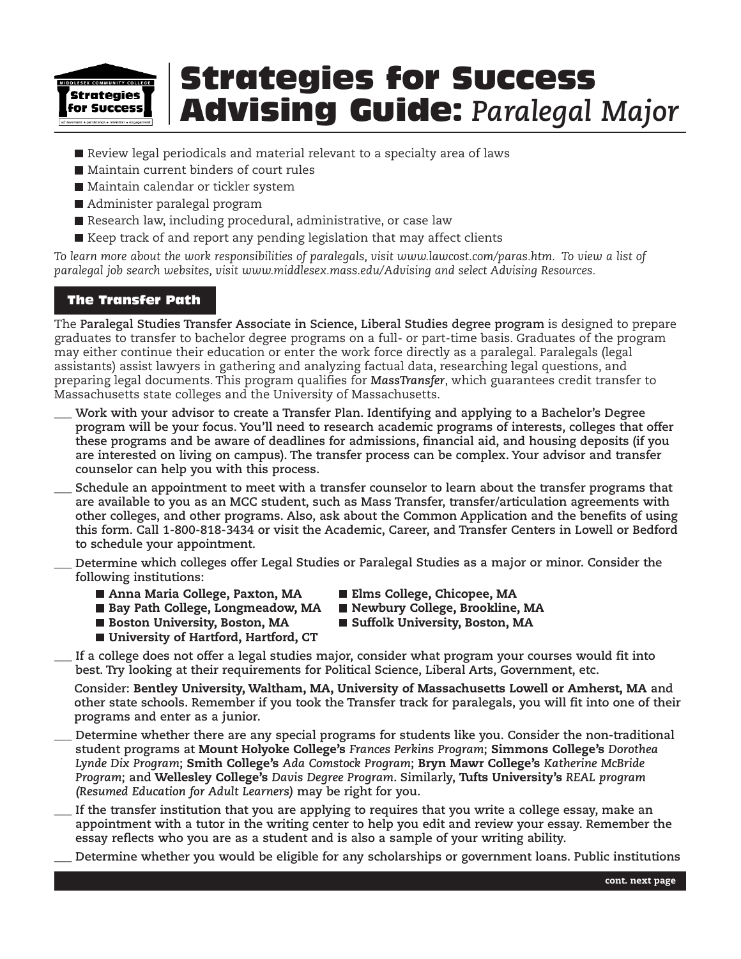

- Review legal periodicals and material relevant to a specialty area of laws
- Maintain current binders of court rules
- Maintain calendar or tickler system
- Administer paralegal program
- Research law, including procedural, administrative, or case law
- Keep track of and report any pending legislation that may affect clients

*To learn more about the work responsibilities of paralegals, visit<www.lawcost.com/paras.htm>. To view a list of paralegal job search websites, visit <www.middlesex.mass.edu/Advising> and select Advising Resources.* 

## The Transfer Path

The **Paralegal Studies Transfer Associate in Science, Liberal Studies degree program** is designed to prepare graduates to transfer to bachelor degree programs on a full- or part-time basis. Graduates of the program may either continue their education or enter the work force directly as a paralegal. Paralegals (legal assistants) assist lawyers in gathering and analyzing factual data, researching legal questions, and preparing legal documents. This program qualifies for *MassTransfer*, which guarantees credit transfer to Massachusetts state colleges and the University of Massachusetts.

- \_\_\_ **Work with your advisor to create a Transfer Plan. Identifying and applying to a Bachelor's Degree program will be your focus. You'll need to research academic programs of interests, colleges that offer these programs and be aware of deadlines for admissions, financial aid, and housing deposits (if you are interested on living on campus). The transfer process can be complex. Your advisor and transfer counselor can help you with this process.**
- \_\_\_ **Schedule an appointment to meet with a transfer counselor to learn about the transfer programs that are available to you as an MCC student, such as Mass Transfer, transfer/articulation agreements with other colleges, and other programs. Also, ask about the Common Application and the benefits of using this form. Call 1-800-818-3434 or visit the Academic, Career, and Transfer Centers in Lowell or Bedford to schedule your appointment.**
- \_\_\_ **Determine which colleges offer Legal Studies or Paralegal Studies as a major or minor. Consider the following institutions:** 
	- Anna Maria College, Paxton, MA Elms College, Chicopee, MA
	- Bay Path College, Longmeadow, MA Newbury College, Brookline, MA
- -
	- **Boston University, Boston, MA Buffolk University, Boston, MA**
	- University of Hartford, Hartford, CT
- 
- \_\_\_ **If a college does not offer a legal studies major, consider what program your courses would fit into best. Try looking at their requirements for Political Science, Liberal Arts, Government, etc.**

**Consider: Bentley University, Waltham, MA, University of Massachusetts Lowell or Amherst, MA and other state schools. Remember if you took the Transfer track for paralegals, you will fit into one of their programs and enter as a junior.** 

- \_\_\_ **Determine whether there are any special programs for students like you. Consider the non-traditional student programs at Mount Holyoke College's** *Frances Perkins Program***; Simmons College's** *Dorothea Lynde Dix Program***; Smith College's** *Ada Comstock Program***; Bryn Mawr College's** *Katherine McBride Program***; and Wellesley College's** *Davis Degree Program***. Similarly, Tufts University's** *REAL program (Resumed Education for Adult Learners)* **may be right for you.**
- \_\_\_ **If the transfer institution that you are applying to requires that you write a college essay, make an appointment with a tutor in the writing center to help you edit and review your essay. Remember the essay reflects who you are as a student and is also a sample of your writing ability.**

\_\_\_ **Determine whether you would be eligible for any scholarships or government loans. Public institutions**